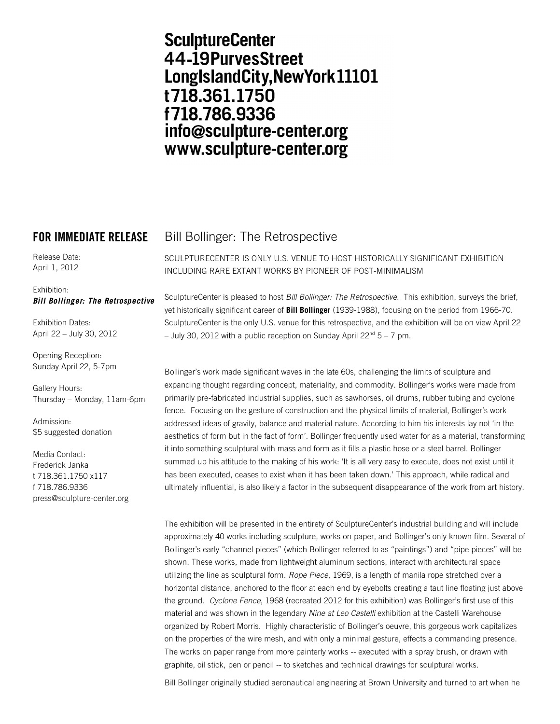# **SculptureCenter** 44-19PurvesStreet LongIslandCity, New York 11101 t718.361.1750 f718.786.9336 info@sculpture-center.org www.sculpture-center.org

Release Date: April 1, 2012

### Exhibition: *Bill Bollinger: The Retrospective*

Exhibition Dates: April 22 – July 30, 2012

Opening Reception: Sunday April 22, 5-7pm

Gallery Hours: Thursday – Monday, 11am-6pm

Admission: \$5 suggested donation

Media Contact: Frederick Janka t 718.361.1750 x117 f 718.786.9336 press@sculpture-center.org

## **FOR IMMEDIATE RELEASE** Bill Bollinger: The Retrospective

SCULPTURECENTER IS ONLY U.S. VENUE TO HOST HISTORICALLY SIGNIFICANT EXHIBITION INCLUDING RARE EXTANT WORKS BY PIONEER OF POST-MINIMALISM

SculptureCenter is pleased to host *Bill Bollinger: The Retrospective*. This exhibition, surveys the brief, yet historically significant career of **Bill Bollinger** (1939-1988), focusing on the period from 1966-70. SculptureCenter is the only U.S. venue for this retrospective, and the exhibition will be on view April 22 – July 30, 2012 with a public reception on Sunday April  $22^{nd}$  5 – 7 pm.

Bollinger's work made significant waves in the late 60s, challenging the limits of sculpture and expanding thought regarding concept, materiality, and commodity. Bollinger's works were made from primarily pre-fabricated industrial supplies, such as sawhorses, oil drums, rubber tubing and cyclone fence. Focusing on the gesture of construction and the physical limits of material, Bollinger's work addressed ideas of gravity, balance and material nature. According to him his interests lay not 'in the aesthetics of form but in the fact of form'. Bollinger frequently used water for as a material, transforming it into something sculptural with mass and form as it fills a plastic hose or a steel barrel. Bollinger summed up his attitude to the making of his work: 'It is all very easy to execute, does not exist until it has been executed, ceases to exist when it has been taken down.' This approach, while radical and ultimately influential, is also likely a factor in the subsequent disappearance of the work from art history.

The exhibition will be presented in the entirety of SculptureCenter's industrial building and will include approximately 40 works including sculpture, works on paper, and Bollinger's only known film. Several of Bollinger's early "channel pieces" (which Bollinger referred to as "paintings") and "pipe pieces" will be shown. These works, made from lightweight aluminum sections, interact with architectural space utilizing the line as sculptural form. *Rope Piece*, 1969, is a length of manila rope stretched over a horizontal distance, anchored to the floor at each end by eyebolts creating a taut line floating just above the ground. *Cyclone Fence*, 1968 (recreated 2012 for this exhibition) was Bollinger's first use of this material and was shown in the legendary *Nine at Leo Castelli* exhibition at the Castelli Warehouse organized by Robert Morris. Highly characteristic of Bollinger's oeuvre, this gorgeous work capitalizes on the properties of the wire mesh, and with only a minimal gesture, effects a commanding presence. The works on paper range from more painterly works -- executed with a spray brush, or drawn with graphite, oil stick, pen or pencil -- to sketches and technical drawings for sculptural works.

Bill Bollinger originally studied aeronautical engineering at Brown University and turned to art when he